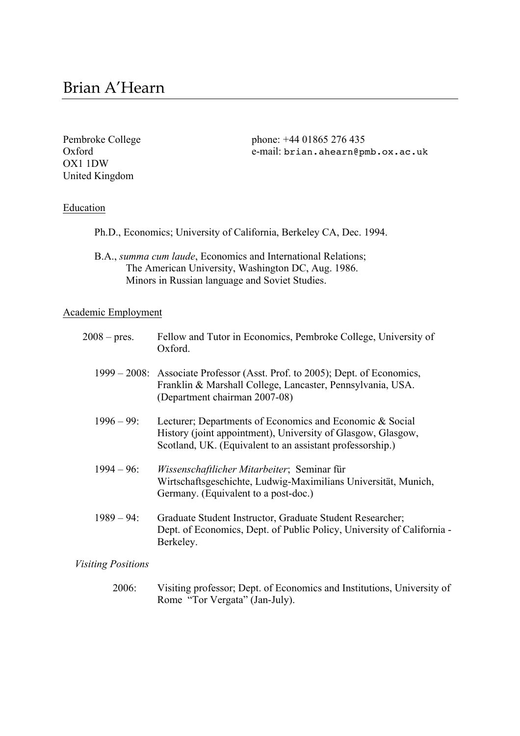OX1 1DW United Kingdom

Pembroke College phone: +44 01865 276 435 Oxford e-mail: brian.ahearn@pmb.ox.ac.uk

# **Education**

|  | Ph.D., Economics; University of California, Berkeley CA, Dec. 1994. |  |  |
|--|---------------------------------------------------------------------|--|--|
|  |                                                                     |  |  |

B.A., *summa cum laude*, Economics and International Relations; The American University, Washington DC, Aug. 1986. Minors in Russian language and Soviet Studies.

# Academic Employment

| $2008 - \text{pres.}$ | Fellow and Tutor in Economics, Pembroke College, University of<br>Oxford.                                                                                                             |
|-----------------------|---------------------------------------------------------------------------------------------------------------------------------------------------------------------------------------|
|                       | 1999 – 2008: Associate Professor (Asst. Prof. to 2005); Dept. of Economics,<br>Franklin & Marshall College, Lancaster, Pennsylvania, USA.<br>(Department chairman 2007-08)            |
| $1996 - 99$ :         | Lecturer; Departments of Economics and Economic & Social<br>History (joint appointment), University of Glasgow, Glasgow,<br>Scotland, UK. (Equivalent to an assistant professorship.) |
| $1994 - 96$ :         | Wissenschaftlicher Mitarbeiter; Seminar für<br>Wirtschaftsgeschichte, Ludwig-Maximilians Universität, Munich,<br>Germany. (Equivalent to a post-doc.)                                 |
| $1989 - 94$ :         | Graduate Student Instructor, Graduate Student Researcher;<br>Dept. of Economics, Dept. of Public Policy, University of California -<br>Berkeley.                                      |

*Visiting Positions*

 2006: Visiting professor; Dept. of Economics and Institutions, University of Rome "Tor Vergata" (Jan-July).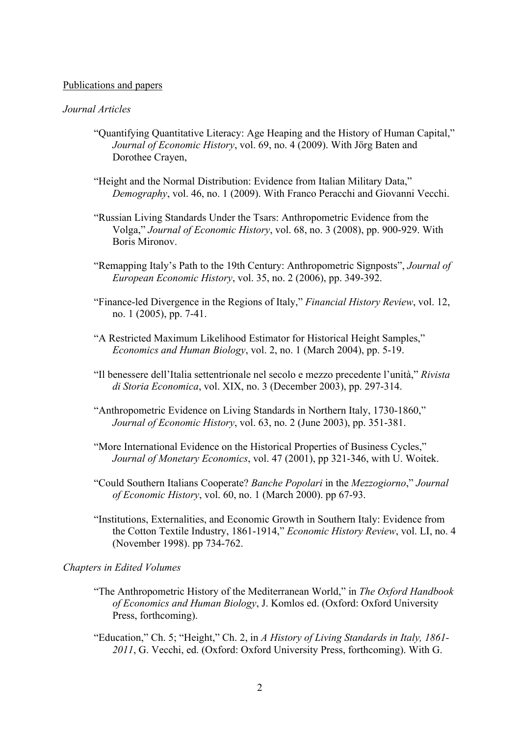#### Publications and papers

#### *Journal Articles*

- "Quantifying Quantitative Literacy: Age Heaping and the History of Human Capital," *Journal of Economic History*, vol. 69, no. 4 (2009). With Jörg Baten and Dorothee Crayen,
- "Height and the Normal Distribution: Evidence from Italian Military Data," *Demography*, vol. 46, no. 1 (2009). With Franco Peracchi and Giovanni Vecchi.
- "Russian Living Standards Under the Tsars: Anthropometric Evidence from the Volga," *Journal of Economic History*, vol. 68, no. 3 (2008), pp. 900-929. With Boris Mironov.
- "Remapping Italy's Path to the 19th Century: Anthropometric Signposts", *Journal of European Economic History*, vol. 35, no. 2 (2006), pp. 349-392.
- "Finance-led Divergence in the Regions of Italy," *Financial History Review*, vol. 12, no. 1 (2005), pp. 7-41.
- "A Restricted Maximum Likelihood Estimator for Historical Height Samples," *Economics and Human Biology*, vol. 2, no. 1 (March 2004), pp. 5-19.
- "Il benessere dell'Italia settentrionale nel secolo e mezzo precedente l'unità," *Rivista di Storia Economica*, vol. XIX, no. 3 (December 2003), pp. 297-314.
- "Anthropometric Evidence on Living Standards in Northern Italy, 1730-1860," *Journal of Economic History*, vol. 63, no. 2 (June 2003), pp. 351-381.
- "More International Evidence on the Historical Properties of Business Cycles," *Journal of Monetary Economics*, vol. 47 (2001), pp 321-346, with U. Woitek.
- "Could Southern Italians Cooperate? *Banche Popolari* in the *Mezzogiorno*," *Journal of Economic History*, vol. 60, no. 1 (March 2000). pp 67-93.
- "Institutions, Externalities, and Economic Growth in Southern Italy: Evidence from the Cotton Textile Industry, 1861-1914," *Economic History Review*, vol. LI, no. 4 (November 1998). pp 734-762.

#### *Chapters in Edited Volumes*

- "The Anthropometric History of the Mediterranean World," in *The Oxford Handbook of Economics and Human Biology*, J. Komlos ed. (Oxford: Oxford University Press, forthcoming).
- "Education," Ch. 5; "Height," Ch. 2, in *A History of Living Standards in Italy, 1861- 2011*, G. Vecchi, ed. (Oxford: Oxford University Press, forthcoming). With G.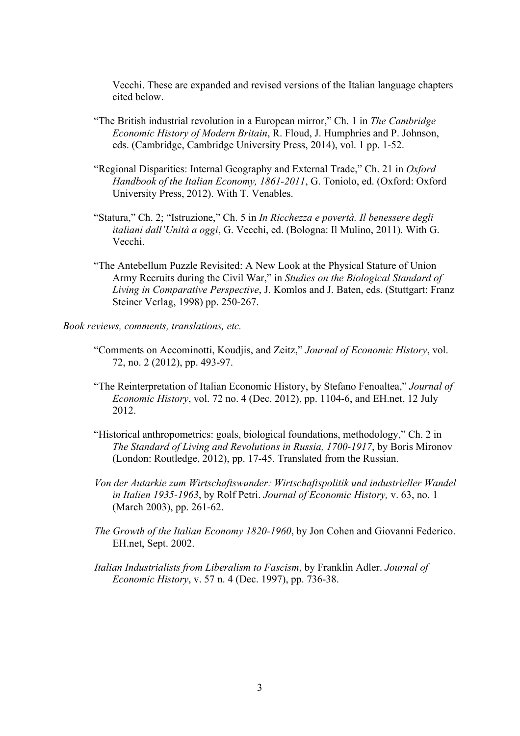Vecchi. These are expanded and revised versions of the Italian language chapters cited below.

- "The British industrial revolution in a European mirror," Ch. 1 in *The Cambridge Economic History of Modern Britain*, R. Floud, J. Humphries and P. Johnson, eds. (Cambridge, Cambridge University Press, 2014), vol. 1 pp. 1-52.
- "Regional Disparities: Internal Geography and External Trade," Ch. 21 in *Oxford Handbook of the Italian Economy, 1861-2011*, G. Toniolo, ed. (Oxford: Oxford University Press, 2012). With T. Venables.
- "Statura," Ch. 2; "Istruzione," Ch. 5 in *In Ricchezza e povertà. Il benessere degli italiani dall'Unità a oggi*, G. Vecchi, ed. (Bologna: Il Mulino, 2011). With G. Vecchi.
- "The Antebellum Puzzle Revisited: A New Look at the Physical Stature of Union Army Recruits during the Civil War," in *Studies on the Biological Standard of Living in Comparative Perspective*, J. Komlos and J. Baten, eds. (Stuttgart: Franz Steiner Verlag, 1998) pp. 250-267.

*Book reviews, comments, translations, etc.*

- "Comments on Accominotti, Koudjis, and Zeitz," *Journal of Economic History*, vol. 72, no. 2 (2012), pp. 493-97.
- "The Reinterpretation of Italian Economic History, by Stefano Fenoaltea," *Journal of Economic History*, vol. 72 no. 4 (Dec. 2012), pp. 1104-6, and EH.net, 12 July 2012.
- "Historical anthropometrics: goals, biological foundations, methodology," Ch. 2 in *The Standard of Living and Revolutions in Russia, 1700-1917*, by Boris Mironov (London: Routledge, 2012), pp. 17-45. Translated from the Russian.
- *Von der Autarkie zum Wirtschaftswunder: Wirtschaftspolitik und industrieller Wandel in Italien 1935-1963*, by Rolf Petri. *Journal of Economic History,* v. 63, no. 1 (March 2003), pp. 261-62.
- *The Growth of the Italian Economy 1820-1960*, by Jon Cohen and Giovanni Federico. EH.net, Sept. 2002.
- *Italian Industrialists from Liberalism to Fascism*, by Franklin Adler. *Journal of Economic History*, v. 57 n. 4 (Dec. 1997), pp. 736-38.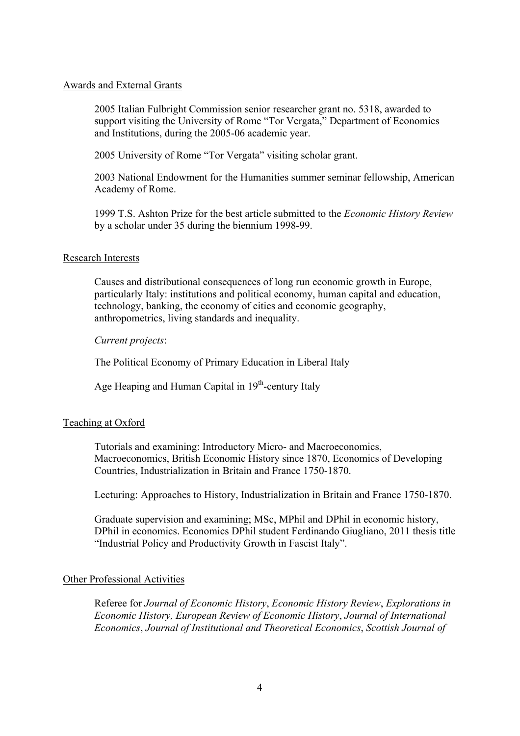#### Awards and External Grants

2005 Italian Fulbright Commission senior researcher grant no. 5318, awarded to support visiting the University of Rome "Tor Vergata," Department of Economics and Institutions, during the 2005-06 academic year.

2005 University of Rome "Tor Vergata" visiting scholar grant.

2003 National Endowment for the Humanities summer seminar fellowship, American Academy of Rome.

1999 T.S. Ashton Prize for the best article submitted to the *Economic History Review* by a scholar under 35 during the biennium 1998-99.

## Research Interests

Causes and distributional consequences of long run economic growth in Europe, particularly Italy: institutions and political economy, human capital and education, technology, banking, the economy of cities and economic geography, anthropometrics, living standards and inequality.

*Current projects*:

The Political Economy of Primary Education in Liberal Italy

Age Heaping and Human Capital in 19<sup>th</sup>-century Italy

## Teaching at Oxford

Tutorials and examining: Introductory Micro- and Macroeconomics, Macroeconomics, British Economic History since 1870, Economics of Developing Countries, Industrialization in Britain and France 1750-1870.

Lecturing: Approaches to History, Industrialization in Britain and France 1750-1870.

Graduate supervision and examining; MSc, MPhil and DPhil in economic history, DPhil in economics. Economics DPhil student Ferdinando Giugliano, 2011 thesis title "Industrial Policy and Productivity Growth in Fascist Italy".

## Other Professional Activities

Referee for *Journal of Economic History*, *Economic History Review*, *Explorations in Economic History, European Review of Economic History*, *Journal of International Economics*, *Journal of Institutional and Theoretical Economics*, *Scottish Journal of*